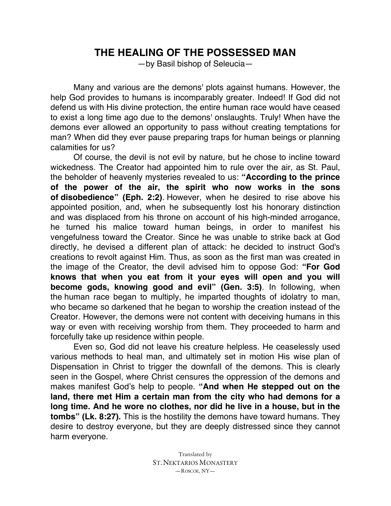## **THE HEALING OF THE POSSESSED MAN**

—by Basil bishop of Seleucia—

Many and various are the demons' plots against humans. However, the help God provides to humans is incomparably greater. Indeed! If God did not defend us with His divine protection, the entire human race would have ceased to exist a long time ago due to the demons' onslaughts. Truly! When have the demons ever allowed an opportunity to pass without creating temptations for man? When did they ever pause preparing traps for human beings or planning calamities for us?

Of course, the devil is not evil by nature, but he chose to incline toward wickedness. The Creator had appointed him to rule over the air, as St. Paul, the beholder of heavenly mysteries revealed to us: **"According to the prince of the power of the air, the spirit who now works in the sons of disobedience" (Eph. 2:2)**. However, when he desired to rise above his appointed position, and, when he subsequently lost his honorary distinction and was displaced from his throne on account of his high-minded arrogance, he turned his malice toward human beings, in order to manifest his vengefulness toward the Creator. Since he was unable to strike back at God directly, he devised a different plan of attack: he decided to instruct God's creations to revolt against Him. Thus, as soon as the first man was created in the image of the Creator, the devil advised him to oppose God: **"For God knows that when you eat from it your eyes will open and you will become gods, knowing good and evil" (Gen. 3:5)**. In following, when the human race began to multiply, he imparted thoughts of idolatry to man, who became so darkened that he began to worship the creation instead of the Creator. However, the demons were not content with deceiving humans in this way or even with receiving worship from them. They proceeded to harm and forcefully take up residence within people.

Even so, God did not leave his creature helpless. He ceaselessly used various methods to heal man, and ultimately set in motion His wise plan of Dispensation in Christ to trigger the downfall of the demons. This is clearly seen in the Gospel, where Christ censures the oppression of the demons and makes manifest God's help to people. **"And when He stepped out on the land, there met Him a certain man from the city who had demons for a long time. And he wore no clothes, nor did he live in a house, but in the tombs" (Lk. 8:27).** This is the hostility the demons have toward humans. They desire to destroy everyone, but they are deeply distressed since they cannot harm everyone.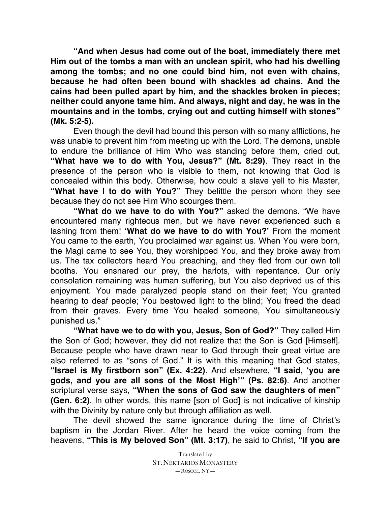**"And when Jesus had come out of the boat, immediately there met Him out of the tombs a man with an unclean spirit, who had his dwelling among the tombs; and no one could bind him, not even with chains, because he had often been bound with shackles ad chains. And the cains had been pulled apart by him, and the shackles broken in pieces; neither could anyone tame him. And always, night and day, he was in the mountains and in the tombs, crying out and cutting himself with stones" (Mk. 5:2-5).**

Even though the devil had bound this person with so many afflictions, he was unable to prevent him from meeting up with the Lord. The demons, unable to endure the brilliance of Him Who was standing before them, cried out, **"What have we to do with You, Jesus?" (Mt. 8:29)**. They react in the presence of the person who is visible to them, not knowing that God is concealed within this body. Otherwise, how could a slave yell to his Master, **"What have I to do with You?"** They belittle the person whom they see because they do not see Him Who scourges them.

**"What do we have to do with You?"** asked the demons. "We have encountered many righteous men, but we have never experienced such a lashing from them! **'What do we have to do with You?'** From the moment You came to the earth, You proclaimed war against us. When You were born, the Magi came to see You, they worshipped You, and they broke away from us. The tax collectors heard You preaching, and they fled from our own toll booths. You ensnared our prey, the harlots, with repentance. Our only consolation remaining was human suffering, but You also deprived us of this enjoyment. You made paralyzed people stand on their feet; You granted hearing to deaf people; You bestowed light to the blind; You freed the dead from their graves. Every time You healed someone, You simultaneously punished us."

**"What have we to do with you, Jesus, Son of God?"** They called Him the Son of God; however, they did not realize that the Son is God [Himself]. Because people who have drawn near to God through their great virtue are also referred to as "sons of God." It is with this meaning that God states, **"Israel is My firstborn son" (Ex. 4:22)**. And elsewhere, **"I said, 'you are gods, and you are all sons of the Most High'" (Ps. 82:6)**. And another scriptural verse says, **"When the sons of God saw the daughters of men" (Gen. 6:2)**. In other words, this name [son of God] is not indicative of kinship with the Divinity by nature only but through affiliation as well.

The devil showed the same ignorance during the time of Christ's baptism in the Jordan River. After he heard the voice coming from the heavens, **"This is My beloved Son" (Mt. 3:17)**, he said to Christ, **"If you are**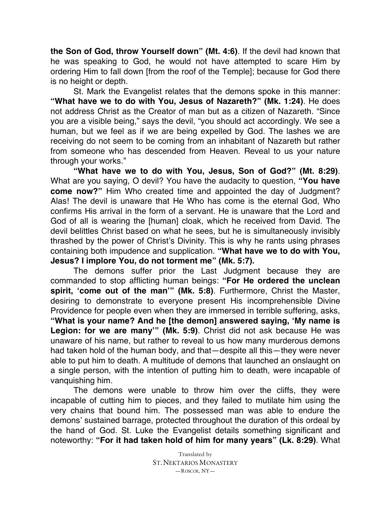**the Son of God, throw Yourself down" (Mt. 4:6)**. If the devil had known that he was speaking to God, he would not have attempted to scare Him by ordering Him to fall down [from the roof of the Temple]; because for God there is no height or depth.

St. Mark the Evangelist relates that the demons spoke in this manner: **"What have we to do with You, Jesus of Nazareth?" (Mk. 1:24)**. He does not address Christ as the Creator of man but as a citizen of Nazareth. "Since you are a visible being," says the devil, "you should act accordingly. We see a human, but we feel as if we are being expelled by God. The lashes we are receiving do not seem to be coming from an inhabitant of Nazareth but rather from someone who has descended from Heaven. Reveal to us your nature through your works."

**"What have we to do with You, Jesus, Son of God?" (Mt. 8:29)**. What are you saying, O devil? You have the audacity to question, **"You have come now?"** Him Who created time and appointed the day of Judgment? Alas! The devil is unaware that He Who has come is the eternal God, Who confirms His arrival in the form of a servant. He is unaware that the Lord and God of all is wearing the [human] cloak, which he received from David. The devil belittles Christ based on what he sees, but he is simultaneously invisibly thrashed by the power of Christ's Divinity. This is why he rants using phrases containing both impudence and supplication. **"What have we to do with You, Jesus? I implore You, do not torment me" (Mk. 5:7).**

The demons suffer prior the Last Judgment because they are commanded to stop afflicting human beings: **"For He ordered the unclean spirit, 'come out of the man'" (Mk. 5:8)**. Furthermore, Christ the Master, desiring to demonstrate to everyone present His incomprehensible Divine Providence for people even when they are immersed in terrible suffering, asks, **"What is your name? And he [the demon] answered saying, 'My name is Legion: for we are many'" (Mk. 5:9)**. Christ did not ask because He was unaware of his name, but rather to reveal to us how many murderous demons had taken hold of the human body, and that—despite all this—they were never able to put him to death. A multitude of demons that launched an onslaught on a single person, with the intention of putting him to death, were incapable of vanquishing him.

The demons were unable to throw him over the cliffs, they were incapable of cutting him to pieces, and they failed to mutilate him using the very chains that bound him. The possessed man was able to endure the demons' sustained barrage, protected throughout the duration of this ordeal by the hand of God. St. Luke the Evangelist details something significant and noteworthy: **"For it had taken hold of him for many years" (Lk. 8:29)**. What